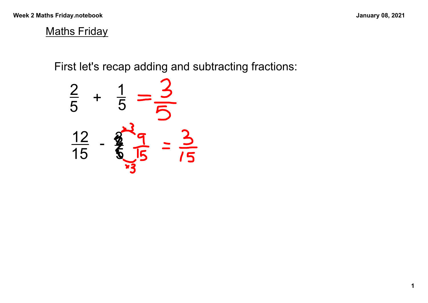## **Maths Friday**

First let's recap adding and subtracting fractions:

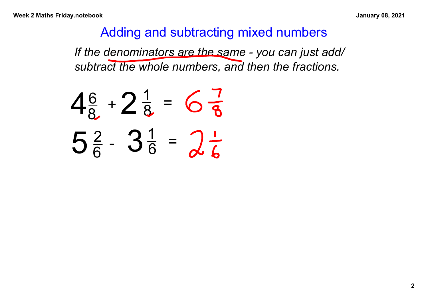## Adding and subtracting mixed numbers

*If the denominators are the same you can just add/ subtract the whole numbers, and then the fractions.*

$$
4\frac{6}{8} + 2\frac{1}{8} = 6\frac{7}{8}
$$
  

$$
5\frac{2}{6} - 3\frac{1}{6} = 2\frac{1}{6}
$$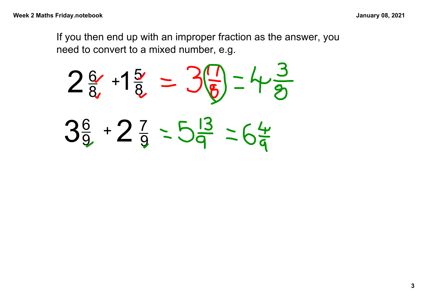If you then end up with an improper fraction as the answer, you need to convert to a mixed number, e.g.

 $2\frac{6}{8}$ 8  $+$ 5 8  $3\frac{6}{9}$  + 2  $+$  2  $\frac{7}{9}$ . 9  $+1$ 3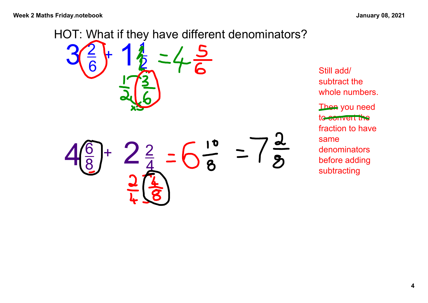

Still add/ subtract the whole numbers. Then you need to convert the fraction to have same denominators before adding subtracting